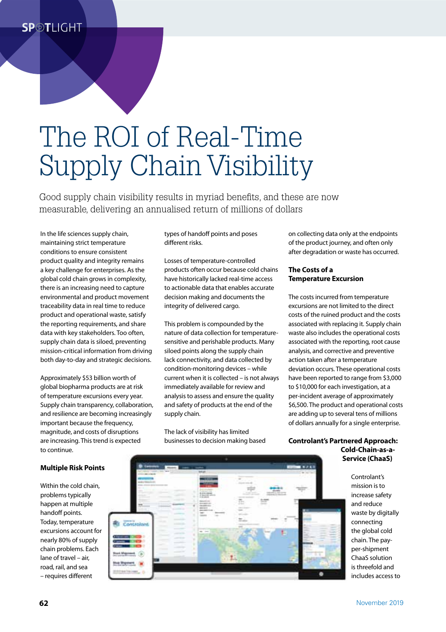# The ROI of Real-Time Supply Chain Visibility

Good supply chain visibility results in myriad benefits, and these are now measurable, delivering an annualised return of millions of dollars

In the life sciences supply chain, maintaining strict temperature conditions to ensure consistent product quality and integrity remains a key challenge for enterprises. As the global cold chain grows in complexity, there is an increasing need to capture environmental and product movement traceability data in real time to reduce product and operational waste, satisfy the reporting requirements, and share data with key stakeholders. Too often, supply chain data is siloed, preventing mission-critical information from driving both day-to-day and strategic decisions.

Approximately \$53 billion worth of global biopharma products are at risk of temperature excursions every year. Supply chain transparency, collaboration, and resilience are becoming increasingly important because the frequency, magnitude, and costs of disruptions are increasing. This trend is expected to continue.

types of handoff points and poses different risks.

Losses of temperature-controlled products often occur because cold chains have historically lacked real-time access to actionable data that enables accurate decision making and documents the integrity of delivered cargo.

This problem is compounded by the nature of data collection for temperaturesensitive and perishable products. Many siloed points along the supply chain lack connectivity, and data collected by condition-monitoring devices – while current when it is collected – is not always immediately available for review and analysis to assess and ensure the quality and safety of products at the end of the supply chain.

The lack of visibility has limited businesses to decision making based on collecting data only at the endpoints of the product journey, and often only after degradation or waste has occurred.

#### **The Costs of a Temperature Excursion**

The costs incurred from temperature excursions are not limited to the direct costs of the ruined product and the costs associated with replacing it. Supply chain waste also includes the operational costs associated with the reporting, root cause analysis, and corrective and preventive action taken after a temperature deviation occurs. These operational costs have been reported to range from \$3,000 to \$10,000 for each investigation, at a per-incident average of approximately \$6,500. The product and operational costs are adding up to several tens of millions of dollars annually for a single enterprise.

**Controlant's Partnered Approach: Cold-Chain-as-a-Service (ChaaS)**

> Controlant's mission is to increase safety and reduce waste by digitally connecting the global cold chain. The payper-shipment ChaaS solution is threefold and includes access to

### **Multiple Risk Points**

Within the cold chain, problems typically happen at multiple handoff points. Today, temperature excursions account for nearly 80% of supply chain problems. Each lane of travel – air, road, rail, and sea – requires different